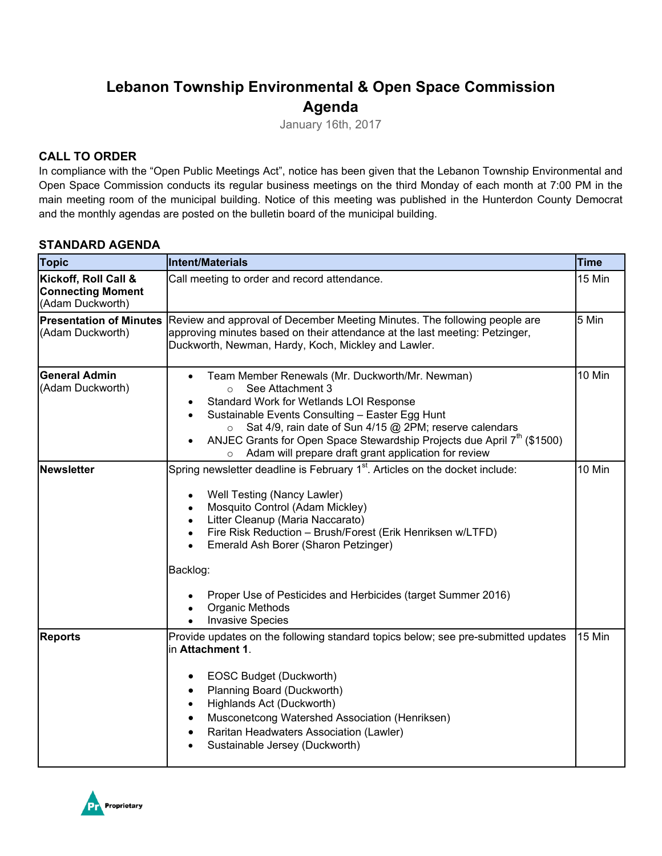# **Lebanon Township Environmental & Open Space Commission Agenda**

January 16th, 2017

## **CALL TO ORDER**

In compliance with the "Open Public Meetings Act", notice has been given that the Lebanon Township Environmental and Open Space Commission conducts its regular business meetings on the third Monday of each month at 7:00 PM in the main meeting room of the municipal building. Notice of this meeting was published in the Hunterdon County Democrat and the monthly agendas are posted on the bulletin board of the municipal building.

#### **STANDARD AGENDA**

| <b>Topic</b>                                                         | <b>Intent/Materials</b>                                                                                                                                                                                                                                                                                                                                                                                                                  | <b>Time</b> |
|----------------------------------------------------------------------|------------------------------------------------------------------------------------------------------------------------------------------------------------------------------------------------------------------------------------------------------------------------------------------------------------------------------------------------------------------------------------------------------------------------------------------|-------------|
| Kickoff, Roll Call &<br><b>Connecting Moment</b><br>(Adam Duckworth) | Call meeting to order and record attendance.                                                                                                                                                                                                                                                                                                                                                                                             | 15 Min      |
| <b>Presentation of Minutes</b><br>(Adam Duckworth)                   | 5 Min<br>Review and approval of December Meeting Minutes. The following people are<br>approving minutes based on their attendance at the last meeting: Petzinger,<br>Duckworth, Newman, Hardy, Koch, Mickley and Lawler.                                                                                                                                                                                                                 |             |
| <b>General Admin</b><br>(Adam Duckworth)                             | Team Member Renewals (Mr. Duckworth/Mr. Newman)<br>$\bullet$<br>See Attachment 3<br>$\circ$<br>Standard Work for Wetlands LOI Response<br>Sustainable Events Consulting - Easter Egg Hunt<br>$\bullet$<br>Sat 4/9, rain date of Sun 4/15 @ 2PM; reserve calendars<br>$\circ$<br>ANJEC Grants for Open Space Stewardship Projects due April 7 <sup>th</sup> (\$1500)<br>$\bullet$<br>Adam will prepare draft grant application for review | 10 Min      |
| <b>Newsletter</b>                                                    | Spring newsletter deadline is February 1 <sup>st</sup> . Articles on the docket include:<br>Well Testing (Nancy Lawler)<br>$\bullet$<br>Mosquito Control (Adam Mickley)<br>$\bullet$<br>Litter Cleanup (Maria Naccarato)<br>$\bullet$<br>Fire Risk Reduction - Brush/Forest (Erik Henriksen w/LTFD)<br>Emerald Ash Borer (Sharon Petzinger)<br>Backlog:                                                                                  | 10 Min      |
|                                                                      | Proper Use of Pesticides and Herbicides (target Summer 2016)<br><b>Organic Methods</b><br><b>Invasive Species</b>                                                                                                                                                                                                                                                                                                                        |             |
| <b>Reports</b>                                                       | Provide updates on the following standard topics below; see pre-submitted updates<br>in Attachment 1.<br>EOSC Budget (Duckworth)<br>٠<br>Planning Board (Duckworth)<br>٠<br>Highlands Act (Duckworth)<br>$\bullet$<br>Musconetcong Watershed Association (Henriksen)<br>Raritan Headwaters Association (Lawler)<br>$\bullet$<br>Sustainable Jersey (Duckworth)                                                                           | 15 Min      |

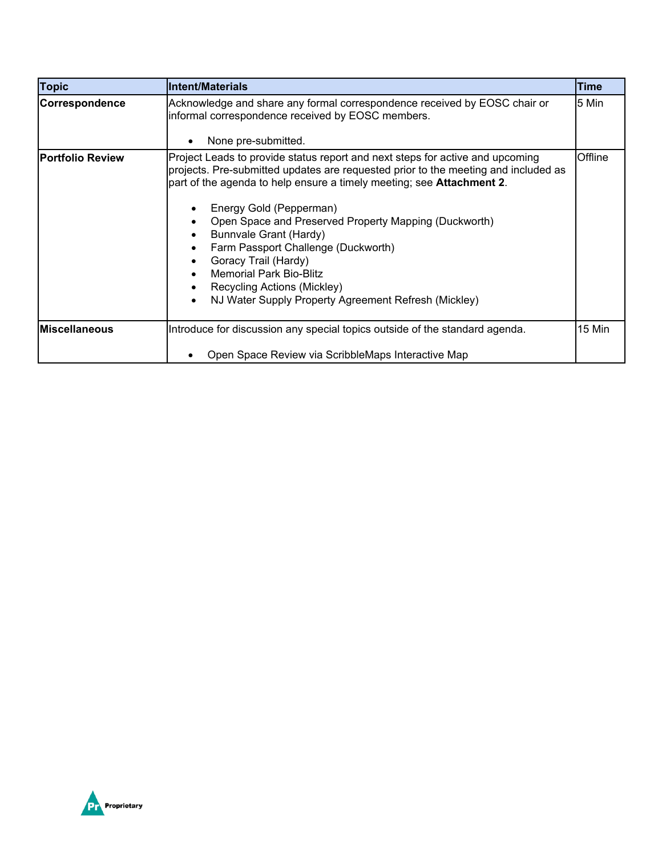| <b>Topic</b>            | <b>Intent/Materials</b>                                                                                                                                                                                                                                                                                                                                                                                                                                                                                                                            | Time    |
|-------------------------|----------------------------------------------------------------------------------------------------------------------------------------------------------------------------------------------------------------------------------------------------------------------------------------------------------------------------------------------------------------------------------------------------------------------------------------------------------------------------------------------------------------------------------------------------|---------|
| Correspondence          | Acknowledge and share any formal correspondence received by EOSC chair or<br>informal correspondence received by EOSC members.<br>None pre-submitted.                                                                                                                                                                                                                                                                                                                                                                                              | 5 Min   |
| <b>Portfolio Review</b> | Project Leads to provide status report and next steps for active and upcoming<br>projects. Pre-submitted updates are requested prior to the meeting and included as<br>part of the agenda to help ensure a timely meeting; see Attachment 2.<br>Energy Gold (Pepperman)<br>Open Space and Preserved Property Mapping (Duckworth)<br>Bunnvale Grant (Hardy)<br>Farm Passport Challenge (Duckworth)<br>Goracy Trail (Hardy)<br><b>Memorial Park Bio-Blitz</b><br>Recycling Actions (Mickley)<br>NJ Water Supply Property Agreement Refresh (Mickley) | Offline |
| <b>Miscellaneous</b>    | Introduce for discussion any special topics outside of the standard agenda.                                                                                                                                                                                                                                                                                                                                                                                                                                                                        | 15 Min  |
|                         | Open Space Review via ScribbleMaps Interactive Map                                                                                                                                                                                                                                                                                                                                                                                                                                                                                                 |         |

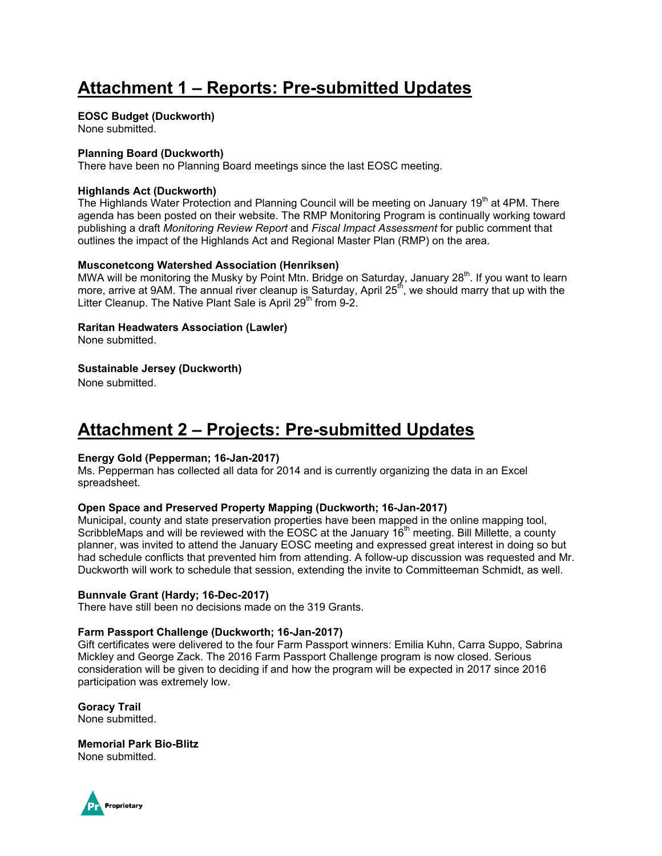# **Attachment 1 – Reports: Pre-submitted Updates**

#### **EOSC Budget (Duckworth)**

None submitted.

#### **Planning Board (Duckworth)**

There have been no Planning Board meetings since the last EOSC meeting.

#### **Highlands Act (Duckworth)**

The Highlands Water Protection and Planning Council will be meeting on January 19<sup>th</sup> at 4PM. There agenda has been posted on their website. The RMP Monitoring Program is continually working toward publishing a draft *Monitoring Review Report* and *Fiscal Impact Assessment* for public comment that outlines the impact of the Highlands Act and Regional Master Plan (RMP) on the area.

#### **Musconetcong Watershed Association (Henriksen)**

MWA will be monitoring the Musky by Point Mtn. Bridge on Saturday, January 28<sup>th</sup>. If you want to learn more, arrive at 9AM. The annual river cleanup is Saturday, April  $25<sup>th</sup>$ , we should marry that up with the Litter Cleanup. The Native Plant Sale is April 29<sup>th</sup> from 9-2.

#### **Raritan Headwaters Association (Lawler)**

None submitted.

#### **Sustainable Jersey (Duckworth)**

None submitted.

# **Attachment 2 – Projects: Pre-submitted Updates**

#### **Energy Gold (Pepperman; 16-Jan-2017)**

Ms. Pepperman has collected all data for 2014 and is currently organizing the data in an Excel spreadsheet.

#### **Open Space and Preserved Property Mapping (Duckworth; 16-Jan-2017)**

Municipal, county and state preservation properties have been mapped in the online mapping tool, ScribbleMaps and will be reviewed with the EOSC at the January 16<sup>th</sup> meeting. Bill Millette, a county planner, was invited to attend the January EOSC meeting and expressed great interest in doing so but had schedule conflicts that prevented him from attending. A follow-up discussion was requested and Mr. Duckworth will work to schedule that session, extending the invite to Committeeman Schmidt, as well.

#### **Bunnvale Grant (Hardy; 16-Dec-2017)**

There have still been no decisions made on the 319 Grants.

#### **Farm Passport Challenge (Duckworth; 16-Jan-2017)**

Gift certificates were delivered to the four Farm Passport winners: Emilia Kuhn, Carra Suppo, Sabrina Mickley and George Zack. The 2016 Farm Passport Challenge program is now closed. Serious consideration will be given to deciding if and how the program will be expected in 2017 since 2016 participation was extremely low.

## **Goracy Trail**

None submitted.

#### **Memorial Park Bio-Blitz**

None submitted.

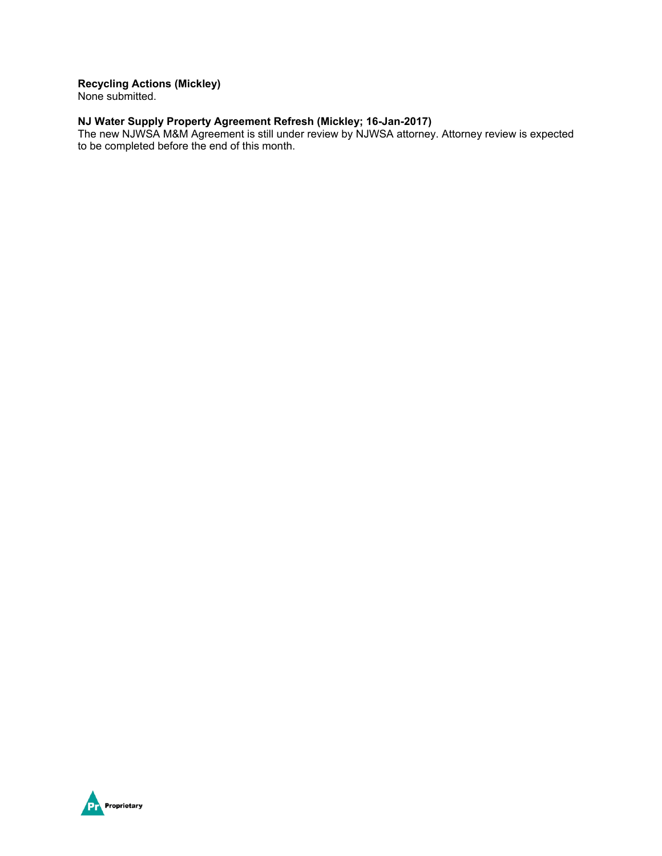## **Recycling Actions (Mickley)**

None submitted.

#### **NJ Water Supply Property Agreement Refresh (Mickley; 16-Jan-2017)**

The new NJWSA M&M Agreement is still under review by NJWSA attorney. Attorney review is expected to be completed before the end of this month.

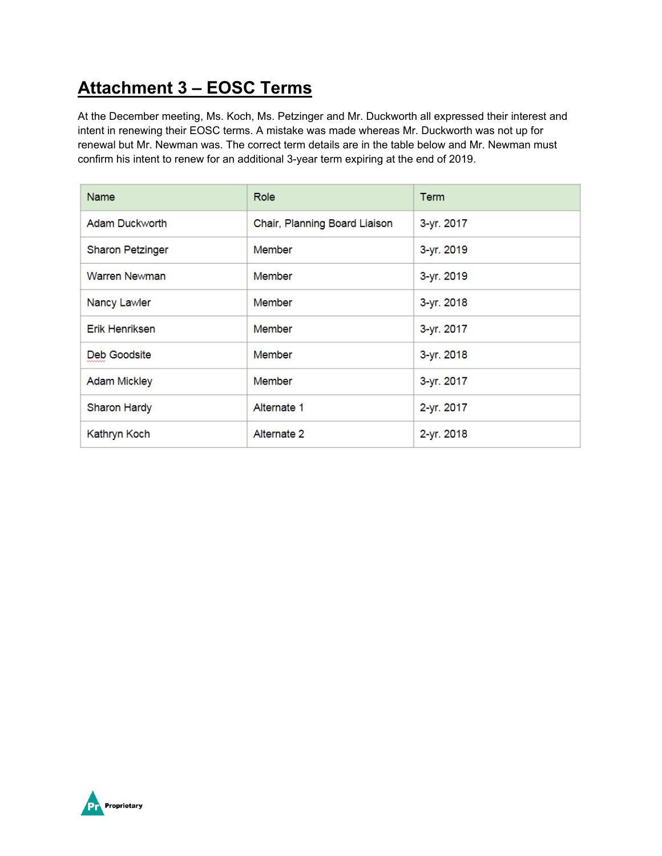# **Attachment 3 – EOSC Terms**

At the December meeting, Ms. Koch, Ms. Petzinger and Mr. Duckworth all expressed their interest and intent in renewing their EOSC terms. A mistake was made whereas Mr. Duckworth was not up for renewal but Mr. Newman was. The correct term details are in the table below and Mr. Newman must confirm his intent to renew for an additional 3-year term expiring at the end of 2019.

| <b>Name</b>             | <b>Role</b>                   | <b>Term</b> |
|-------------------------|-------------------------------|-------------|
| Adam Duckworth          | Chair, Planning Board Liaison | 3-yr. 2017  |
| <b>Sharon Petzinger</b> | Member                        | 3-yr. 2019  |
| Warren Newman           | Member                        | 3-yr. 2019  |
| Nancy Lawler            | Member                        | 3-yr. 2018  |
| <b>Erik Henriksen</b>   | Member                        | 3-yr. 2017  |
| Deb Goodsite            | Member                        | 3-yr. 2018  |
| <b>Adam Mickley</b>     | Member                        | 3-yr. 2017  |
| <b>Sharon Hardy</b>     | Alternate 1                   | 2-yr. 2017  |
| Kathryn Koch            | Alternate 2                   | 2-yr. 2018  |

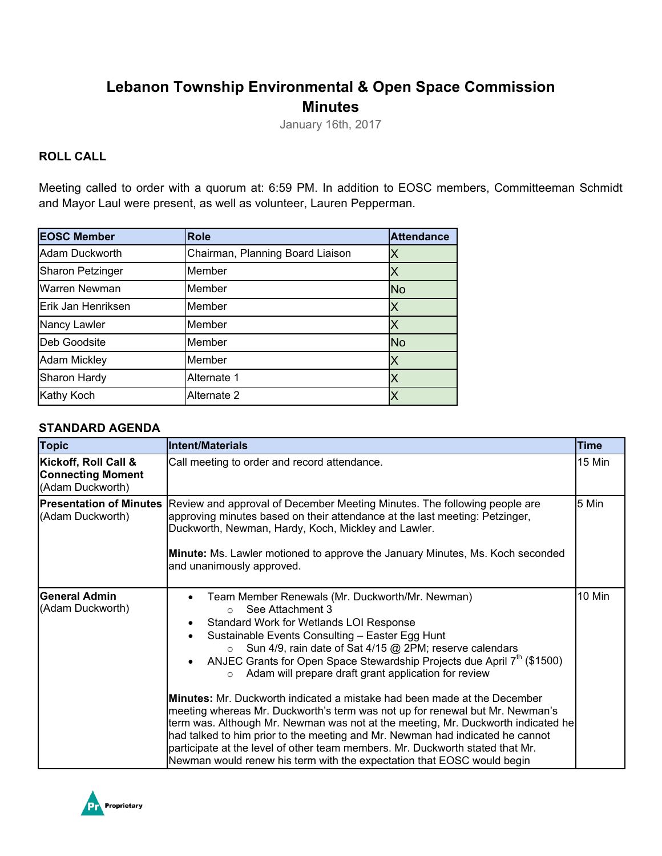## **Lebanon Township Environmental & Open Space Commission Minutes**

January 16th, 2017

## **ROLL CALL**

Meeting called to order with a quorum at: 6:59 PM. In addition to EOSC members, Committeeman Schmidt and Mayor Laul were present, as well as volunteer, Lauren Pepperman.

| <b>EOSC Member</b>      | <b>Role</b>                      | <b>Attendance</b> |
|-------------------------|----------------------------------|-------------------|
| Adam Duckworth          | Chairman, Planning Board Liaison | Χ                 |
| <b>Sharon Petzinger</b> | Member                           | Χ                 |
| Warren Newman           | Member                           | <b>No</b>         |
| Erik Jan Henriksen      | Member                           | Χ                 |
| Nancy Lawler            | Member                           |                   |
| Deb Goodsite            | Member                           | <b>No</b>         |
| <b>Adam Mickley</b>     | Member                           | X                 |
| Sharon Hardy            | Alternate 1                      | Χ                 |
| <b>Kathy Koch</b>       | Alternate 2                      |                   |

#### **STANDARD AGENDA**

| <b>Topic</b>                                                         | <b>Intent/Materials</b>                                                                                                                                                                                                                                                                                                                                                                                                                                                                                                                                                                                                                                                                                                                                                                                                                                                                                                                     | <b>Time</b> |
|----------------------------------------------------------------------|---------------------------------------------------------------------------------------------------------------------------------------------------------------------------------------------------------------------------------------------------------------------------------------------------------------------------------------------------------------------------------------------------------------------------------------------------------------------------------------------------------------------------------------------------------------------------------------------------------------------------------------------------------------------------------------------------------------------------------------------------------------------------------------------------------------------------------------------------------------------------------------------------------------------------------------------|-------------|
| Kickoff, Roll Call &<br><b>Connecting Moment</b><br>(Adam Duckworth) | Call meeting to order and record attendance.                                                                                                                                                                                                                                                                                                                                                                                                                                                                                                                                                                                                                                                                                                                                                                                                                                                                                                | 15 Min      |
| <b>Presentation of Minutes</b><br>(Adam Duckworth)                   | Review and approval of December Meeting Minutes. The following people are<br>approving minutes based on their attendance at the last meeting: Petzinger,<br>Duckworth, Newman, Hardy, Koch, Mickley and Lawler.<br>Minute: Ms. Lawler motioned to approve the January Minutes, Ms. Koch seconded<br>and unanimously approved.                                                                                                                                                                                                                                                                                                                                                                                                                                                                                                                                                                                                               | 5 Min       |
| <b>General Admin</b><br>(Adam Duckworth)                             | Team Member Renewals (Mr. Duckworth/Mr. Newman)<br>$\bullet$<br>See Attachment 3<br>$\bigcap$<br>Standard Work for Wetlands LOI Response<br>Sustainable Events Consulting - Easter Egg Hunt<br>Sun 4/9, rain date of Sat 4/15 @ 2PM; reserve calendars<br>$\circ$<br>ANJEC Grants for Open Space Stewardship Projects due April 7 <sup>th</sup> (\$1500)<br>$\bullet$<br>Adam will prepare draft grant application for review<br>$\circ$<br><b>Minutes:</b> Mr. Duckworth indicated a mistake had been made at the December<br>meeting whereas Mr. Duckworth's term was not up for renewal but Mr. Newman's<br>term was. Although Mr. Newman was not at the meeting, Mr. Duckworth indicated he<br>had talked to him prior to the meeting and Mr. Newman had indicated he cannot<br>participate at the level of other team members. Mr. Duckworth stated that Mr.<br>Newman would renew his term with the expectation that EOSC would begin | 10 Min      |

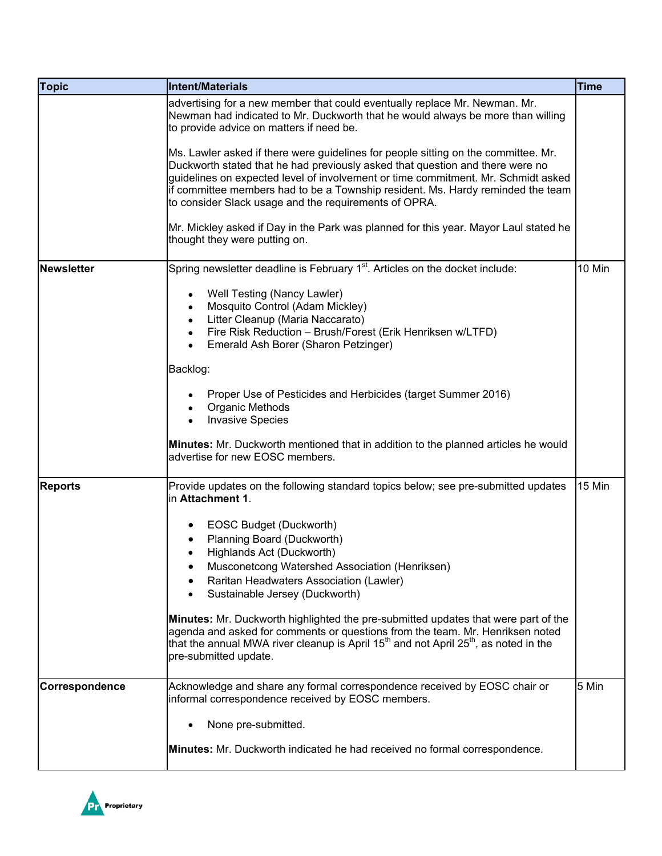| <b>Topic</b>   | Intent/Materials                                                                                                                                                                                                                                                                                               | <b>Time</b> |
|----------------|----------------------------------------------------------------------------------------------------------------------------------------------------------------------------------------------------------------------------------------------------------------------------------------------------------------|-------------|
|                | advertising for a new member that could eventually replace Mr. Newman. Mr.<br>Newman had indicated to Mr. Duckworth that he would always be more than willing<br>to provide advice on matters if need be.<br>Ms. Lawler asked if there were guidelines for people sitting on the committee. Mr.                |             |
|                | Duckworth stated that he had previously asked that question and there were no<br>guidelines on expected level of involvement or time commitment. Mr. Schmidt asked<br>if committee members had to be a Township resident. Ms. Hardy reminded the team<br>to consider Slack usage and the requirements of OPRA. |             |
|                | Mr. Mickley asked if Day in the Park was planned for this year. Mayor Laul stated he<br>thought they were putting on.                                                                                                                                                                                          |             |
| Newsletter     | Spring newsletter deadline is February 1 <sup>st</sup> . Articles on the docket include:                                                                                                                                                                                                                       | 10 Min      |
|                | Well Testing (Nancy Lawler)<br>Mosquito Control (Adam Mickley)<br>$\bullet$<br>Litter Cleanup (Maria Naccarato)<br>$\bullet$                                                                                                                                                                                   |             |
|                | Fire Risk Reduction - Brush/Forest (Erik Henriksen w/LTFD)<br>$\bullet$<br>Emerald Ash Borer (Sharon Petzinger)                                                                                                                                                                                                |             |
|                | Backlog:                                                                                                                                                                                                                                                                                                       |             |
|                | Proper Use of Pesticides and Herbicides (target Summer 2016)<br>Organic Methods<br><b>Invasive Species</b>                                                                                                                                                                                                     |             |
|                | <b>Minutes:</b> Mr. Duckworth mentioned that in addition to the planned articles he would<br>advertise for new EOSC members.                                                                                                                                                                                   |             |
| <b>Reports</b> | Provide updates on the following standard topics below; see pre-submitted updates<br>in Attachment 1.                                                                                                                                                                                                          | 15 Min      |
|                | EOSC Budget (Duckworth)                                                                                                                                                                                                                                                                                        |             |
|                | Planning Board (Duckworth)<br>Highlands Act (Duckworth)                                                                                                                                                                                                                                                        |             |
|                | Musconetcong Watershed Association (Henriksen)                                                                                                                                                                                                                                                                 |             |
|                | Raritan Headwaters Association (Lawler)<br>Sustainable Jersey (Duckworth)                                                                                                                                                                                                                                      |             |
|                | <b>Minutes:</b> Mr. Duckworth highlighted the pre-submitted updates that were part of the<br>agenda and asked for comments or questions from the team. Mr. Henriksen noted<br>that the annual MWA river cleanup is April $15th$ and not April $25th$ , as noted in the<br>pre-submitted update.                |             |
| Correspondence | Acknowledge and share any formal correspondence received by EOSC chair or<br>informal correspondence received by EOSC members.                                                                                                                                                                                 | 5 Min       |
|                | None pre-submitted.                                                                                                                                                                                                                                                                                            |             |
|                | Minutes: Mr. Duckworth indicated he had received no formal correspondence.                                                                                                                                                                                                                                     |             |

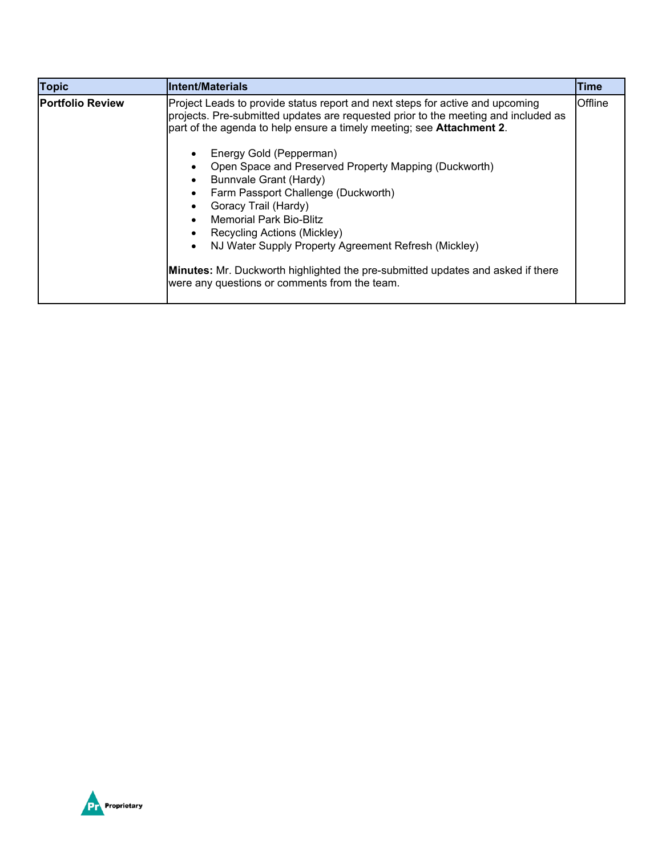| <b>Topic</b>            | <b>Intent/Materials</b>                                                                                                                                                                                                                                                                                                                                                                                                                                                                                                                                                                                                                                                                               | <b>Time</b> |
|-------------------------|-------------------------------------------------------------------------------------------------------------------------------------------------------------------------------------------------------------------------------------------------------------------------------------------------------------------------------------------------------------------------------------------------------------------------------------------------------------------------------------------------------------------------------------------------------------------------------------------------------------------------------------------------------------------------------------------------------|-------------|
| <b>Portfolio Review</b> | Project Leads to provide status report and next steps for active and upcoming<br>projects. Pre-submitted updates are requested prior to the meeting and included as<br>part of the agenda to help ensure a timely meeting; see <b>Attachment 2</b> .<br>Energy Gold (Pepperman)<br>Open Space and Preserved Property Mapping (Duckworth)<br>Bunnvale Grant (Hardy)<br>Farm Passport Challenge (Duckworth)<br>Goracy Trail (Hardy)<br><b>Memorial Park Bio-Blitz</b><br>Recycling Actions (Mickley)<br>NJ Water Supply Property Agreement Refresh (Mickley)<br><b>Minutes:</b> Mr. Duckworth highlighted the pre-submitted updates and asked if there<br>were any questions or comments from the team. | Offline     |